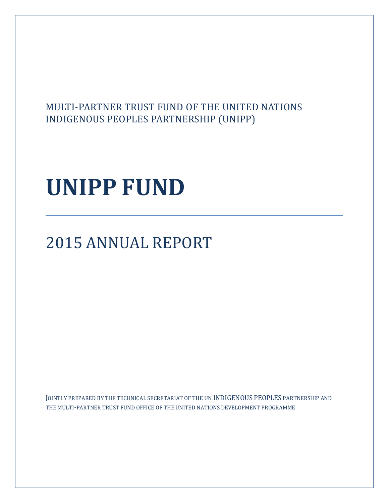# MULTI-PARTNER TRUST FUND OF THE UNITED NATIONS INDIGENOUS PEOPLES PARTNERSHIP (UNIPP)

# **UNIPP FUND**

# 2015 ANNUAL REPORT

JOINTLY PREPARED BY THE TECHNICAL SECRETARIAT OF THE UN INDIGENOUS PEOPLES PARTNERSHIP AND THE MULTI-PARTNER TRUST FUND OFFICE OF THE UNITED NATIONS DEVELOPMENT PROGRAMME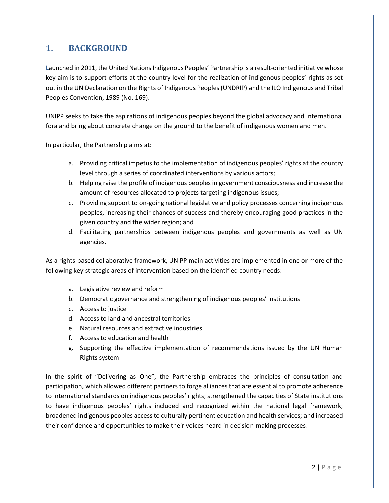## **1. BACKGROUND**

**L**aunched in 2011, the United Nations Indigenous Peoples' Partnership is a result-oriented initiative whose key aim is to support efforts at the country level for the realization of indigenous peoples' rights as set out in the UN Declaration on the Rights of Indigenous Peoples (UNDRIP) and the ILO Indigenous and Tribal Peoples Convention, 1989 (No. 169).

UNIPP seeks to take the aspirations of indigenous peoples beyond the global advocacy and international fora and bring about concrete change on the ground to the benefit of indigenous women and men.

In particular, the Partnership aims at:

- a. Providing critical impetus to the implementation of indigenous peoples' rights at the country level through a series of coordinated interventions by various actors;
- b. Helping raise the profile of indigenous peoples in government consciousness and increase the amount of resources allocated to projects targeting indigenous issues;
- c. Providing support to on-going national legislative and policy processes concerning indigenous peoples, increasing their chances of success and thereby encouraging good practices in the given country and the wider region; and
- d. Facilitating partnerships between indigenous peoples and governments as well as UN agencies.

As a rights-based collaborative framework, UNIPP main activities are implemented in one or more of the following key strategic areas of intervention based on the identified country needs:

- a. Legislative review and reform
- b. Democratic governance and strengthening of indigenous peoples' institutions
- c. Access to justice
- d. Access to land and ancestral territories
- e. Natural resources and extractive industries
- f. Access to education and health
- g. Supporting the effective implementation of recommendations issued by the UN Human Rights system

In the spirit of "Delivering as One", the Partnership embraces the principles of consultation and participation, which allowed different partners to forge alliances that are essential to promote adherence to international standards on indigenous peoples' rights; strengthened the capacities of State institutions to have indigenous peoples' rights included and recognized within the national legal framework; broadened indigenous peoples access to culturally pertinent education and health services; and increased their confidence and opportunities to make their voices heard in decision-making processes.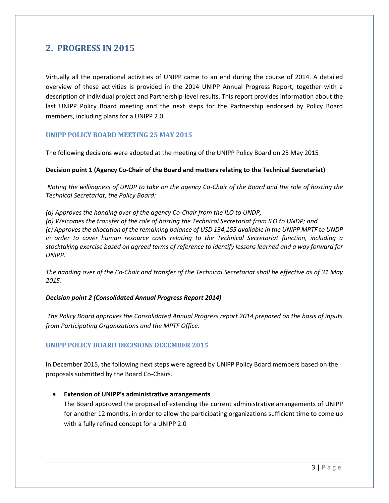### **2. PROGRESS IN 2015**

Virtually all the operational activities of UNIPP came to an end during the course of 2014. A detailed overview of these activities is provided in the 2014 UNIPP Annual Progress Report, together with a description of individual project and Partnership-level results. This report provides information about the last UNIPP Policy Board meeting and the next steps for the Partnership endorsed by Policy Board members, including plans for a UNIPP 2.0.

#### **UNIPP POLICY BOARD MEETING 25 MAY 2015**

The following decisions were adopted at the meeting of the UNIPP Policy Board on 25 May 2015

#### **Decision point 1 (Agency Co-Chair of the Board and matters relating to the Technical Secretariat)**

*Noting the willingness of UNDP to take on the agency Co-Chair of the Board and the role of hosting the Technical Secretariat, the Policy Board:* 

*(a) Approves the handing over of the agency Co-Chair from the ILO to UNDP;* 

*(b) Welcomes the transfer of the role of hosting the Technical Secretariat from ILO to UNDP; and (c) Approves the allocation of the remaining balance of USD 134,155 available in the UNIPP MPTF to UNDP in order to cover human resource costs relating to the Technical Secretariat function, including a stocktaking exercise based on agreed terms of reference to identify lessons learned and a way forward for UNIPP.* 

*The handing over of the Co-Chair and transfer of the Technical Secretariat shall be effective as of 31 May 2015*.

#### *Decision point 2 (Consolidated Annual Progress Report 2014)*

*The Policy Board approves the Consolidated Annual Progress report 2014 prepared on the basis of inputs from Participating Organizations and the MPTF Office.*

#### **UNIPP POLICY BOARD DECISIONS DECEMBER 2015**

In December 2015, the following next steps were agreed by UNIPP Policy Board members based on the proposals submitted by the Board Co-Chairs.

 **Extension of UNIPP's administrative arrangements** The Board approved the proposal of extending the current administrative arrangements of UNIPP for another 12 months, in order to allow the participating organizations sufficient time to come up with a fully refined concept for a UNIPP 2.0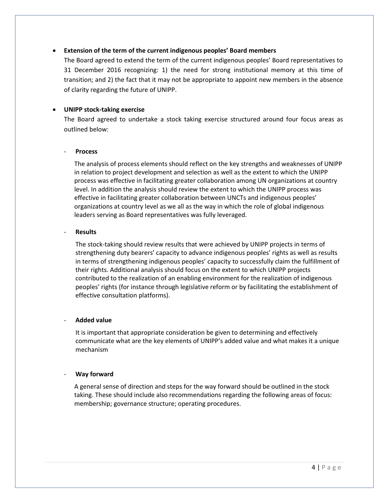#### **Extension of the term of the current indigenous peoples' Board members**

The Board agreed to extend the term of the current indigenous peoples' Board representatives to 31 December 2016 recognizing: 1) the need for strong institutional memory at this time of transition; and 2) the fact that it may not be appropriate to appoint new members in the absence of clarity regarding the future of UNIPP.

#### **UNIPP stock-taking exercise**

The Board agreed to undertake a stock taking exercise structured around four focus areas as outlined below:

#### - **Process**

The analysis of process elements should reflect on the key strengths and weaknesses of UNIPP in relation to project development and selection as well as the extent to which the UNIPP process was effective in facilitating greater collaboration among UN organizations at country level. In addition the analysis should review the extent to which the UNIPP process was effective in facilitating greater collaboration between UNCTs and indigenous peoples' organizations at country level as we all as the way in which the role of global indigenous leaders serving as Board representatives was fully leveraged.

#### - **Results**

The stock-taking should review results that were achieved by UNIPP projects in terms of strengthening duty bearers' capacity to advance indigenous peoples' rights as well as results in terms of strengthening indigenous peoples' capacity to successfully claim the fulfillment of their rights. Additional analysis should focus on the extent to which UNIPP projects contributed to the realization of an enabling environment for the realization of indigenous peoples' rights (for instance through legislative reform or by facilitating the establishment of effective consultation platforms).

#### - **Added value**

It is important that appropriate consideration be given to determining and effectively communicate what are the key elements of UNIPP's added value and what makes it a unique mechanism

#### - **Way forward**

A general sense of direction and steps for the way forward should be outlined in the stock taking. These should include also recommendations regarding the following areas of focus: membership; governance structure; operating procedures.